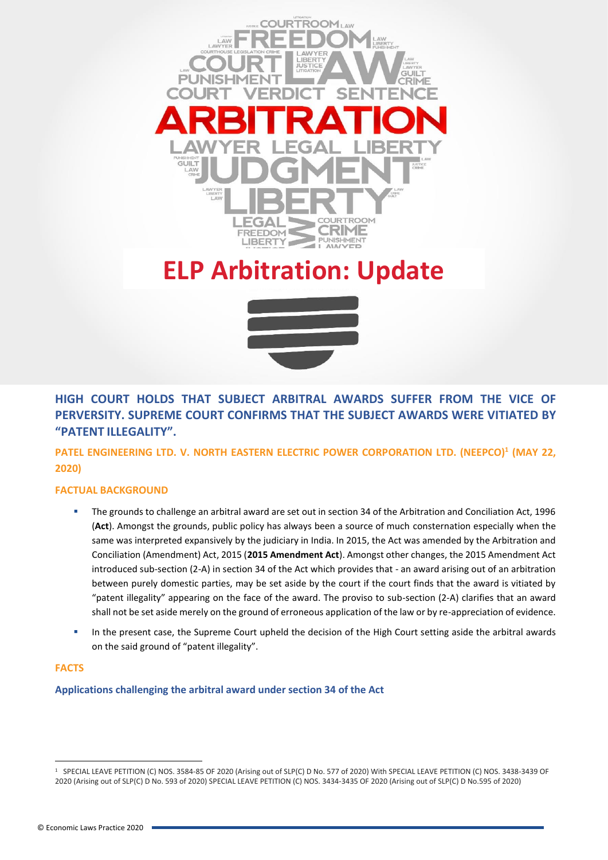

# **ELP Arbitration: Update**



**HIGH COURT HOLDS THAT SUBJECT ARBITRAL AWARDS SUFFER FROM THE VICE OF PERVERSITY. SUPREME COURT CONFIRMS THAT THE SUBJECT AWARDS WERE VITIATED BY "PATENT ILLEGALITY".**

**PATEL ENGINEERING LTD. V. NORTH EASTERN ELECTRIC POWER CORPORATION LTD. (NEEPCO)<sup>1</sup> (MAY 22, 2020)**

# **FACTUAL BACKGROUND**

- The grounds to challenge an arbitral award are set out in section 34 of the Arbitration and Conciliation Act, 1996 (**Act**). Amongst the grounds, public policy has always been a source of much consternation especially when the same was interpreted expansively by the judiciary in India. In 2015, the Act was amended by the Arbitration and Conciliation (Amendment) Act, 2015 (**2015 Amendment Act**). Amongst other changes, the 2015 Amendment Act introduced sub-section (2-A) in section 34 of the Act which provides that - an award arising out of an arbitration between purely domestic parties, may be set aside by the court if the court finds that the award is vitiated by "patent illegality" appearing on the face of the award. The proviso to sub-section (2-A) clarifies that an award shall not be set aside merely on the ground of erroneous application of the law or by re-appreciation of evidence.
- **■** In the present case, the Supreme Court upheld the decision of the High Court setting aside the arbitral awards on the said ground of "patent illegality".

# **FACTS**

**Applications challenging the arbitral award under section 34 of the Act**

<sup>1</sup> SPECIAL LEAVE PETITION (C) NOS. 3584-85 OF 2020 (Arising out of SLP(C) D No. 577 of 2020) With SPECIAL LEAVE PETITION (C) NOS. 3438-3439 OF 2020 (Arising out of SLP(C) D No. 593 of 2020) SPECIAL LEAVE PETITION (C) NOS. 3434-3435 OF 2020 (Arising out of SLP(C) D No.595 of 2020)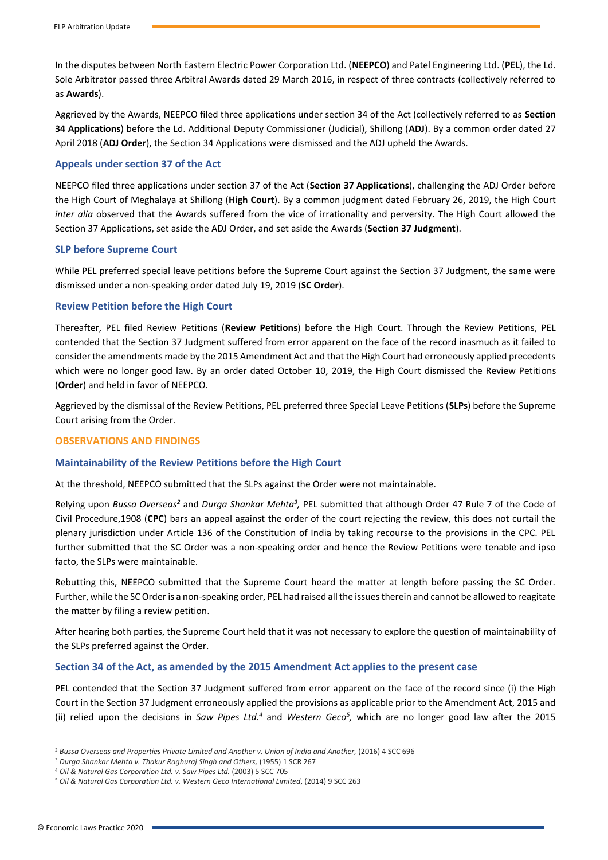In the disputes between North Eastern Electric Power Corporation Ltd. (**NEEPCO**) and Patel Engineering Ltd. (**PEL**), the Ld. Sole Arbitrator passed three Arbitral Awards dated 29 March 2016, in respect of three contracts (collectively referred to as **Awards**).

Aggrieved by the Awards, NEEPCO filed three applications under section 34 of the Act (collectively referred to as **Section 34 Applications**) before the Ld. Additional Deputy Commissioner (Judicial), Shillong (**ADJ**). By a common order dated 27 April 2018 (**ADJ Order**), the Section 34 Applications were dismissed and the ADJ upheld the Awards.

# **Appeals under section 37 of the Act**

NEEPCO filed three applications under section 37 of the Act (**Section 37 Applications**), challenging the ADJ Order before the High Court of Meghalaya at Shillong (**High Court**). By a common judgment dated February 26, 2019, the High Court *inter alia* observed that the Awards suffered from the vice of irrationality and perversity. The High Court allowed the Section 37 Applications, set aside the ADJ Order, and set aside the Awards (**Section 37 Judgment**).

#### **SLP before Supreme Court**

While PEL preferred special leave petitions before the Supreme Court against the Section 37 Judgment, the same were dismissed under a non-speaking order dated July 19, 2019 (**SC Order**).

# **Review Petition before the High Court**

Thereafter, PEL filed Review Petitions (**Review Petitions**) before the High Court. Through the Review Petitions, PEL contended that the Section 37 Judgment suffered from error apparent on the face of the record inasmuch as it failed to consider the amendments made by the 2015 Amendment Act and that the High Court had erroneously applied precedents which were no longer good law. By an order dated October 10, 2019, the High Court dismissed the Review Petitions (**Order**) and held in favor of NEEPCO.

Aggrieved by the dismissal of the Review Petitions, PEL preferred three Special Leave Petitions (**SLPs**) before the Supreme Court arising from the Order.

#### **OBSERVATIONS AND FINDINGS**

#### **Maintainability of the Review Petitions before the High Court**

At the threshold, NEEPCO submitted that the SLPs against the Order were not maintainable.

Relying upon *Bussa Overseas<sup>2</sup>* and *Durga Shankar Mehta<sup>3</sup>, PEL submitted that although Order 47 Rule 7 of the Code of* Civil Procedure,1908 (**CPC**) bars an appeal against the order of the court rejecting the review, this does not curtail the plenary jurisdiction under Article 136 of the Constitution of India by taking recourse to the provisions in the CPC. PEL further submitted that the SC Order was a non-speaking order and hence the Review Petitions were tenable and ipso facto, the SLPs were maintainable.

Rebutting this, NEEPCO submitted that the Supreme Court heard the matter at length before passing the SC Order. Further, while the SC Order is a non-speaking order, PEL had raised all the issues therein and cannot be allowed to reagitate the matter by filing a review petition.

After hearing both parties, the Supreme Court held that it was not necessary to explore the question of maintainability of the SLPs preferred against the Order.

#### **Section 34 of the Act, as amended by the 2015 Amendment Act applies to the present case**

PEL contended that the Section 37 Judgment suffered from error apparent on the face of the record since (i) the High Court in the Section 37 Judgment erroneously applied the provisions as applicable prior to the Amendment Act, 2015 and (ii) relied upon the decisions in *Saw Pipes Ltd.<sup>4</sup>* and *Western Geco<sup>5</sup> ,* which are no longer good law after the 2015

<sup>&</sup>lt;sup>2</sup> Bussa Overseas and Properties Private Limited and Another v. Union of India and Another, (2016) 4 SCC 696

<sup>3</sup> *Durga Shankar Mehta v. Thakur Raghuraj Singh and Others,* (1955) 1 SCR 267

<sup>4</sup> *Oil & Natural Gas Corporation Ltd. v. Saw Pipes Ltd.* (2003) 5 SCC 705

<sup>5</sup> *Oil & Natural Gas Corporation Ltd. v. Western Geco International Limited*, (2014) 9 SCC 263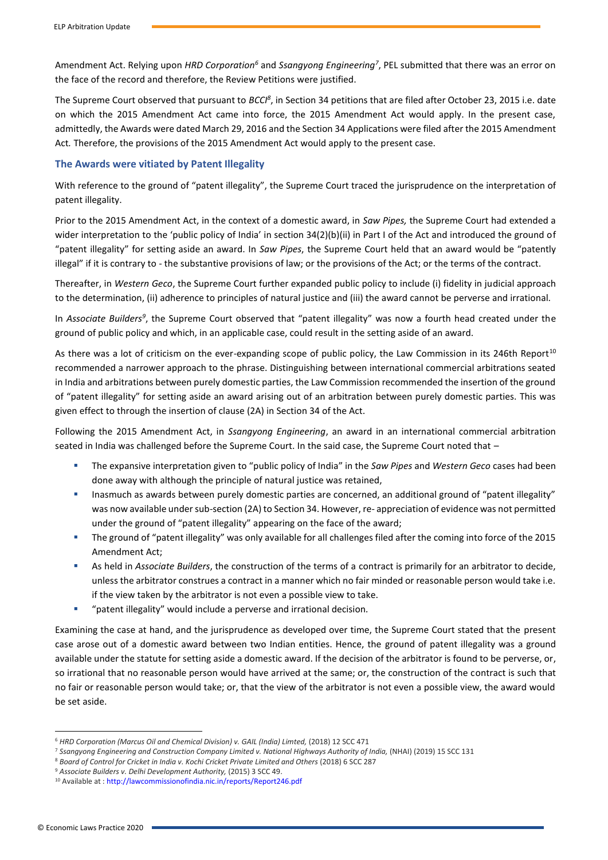Amendment Act. Relying upon *HRD Corporation<sup>6</sup>* and *Ssangyong Engineering<sup>7</sup>* , PEL submitted that there was an error on the face of the record and therefore, the Review Petitions were justified.

The Supreme Court observed that pursuant to *BCCI<sup>8</sup>*, in Section 34 petitions that are filed after October 23, 2015 i.e. date on which the 2015 Amendment Act came into force, the 2015 Amendment Act would apply. In the present case, admittedly, the Awards were dated March 29, 2016 and the Section 34 Applications were filed after the 2015 Amendment Act*.* Therefore, the provisions of the 2015 Amendment Act would apply to the present case.

# **The Awards were vitiated by Patent Illegality**

With reference to the ground of "patent illegality", the Supreme Court traced the jurisprudence on the interpretation of patent illegality.

Prior to the 2015 Amendment Act, in the context of a domestic award, in *Saw Pipes,* the Supreme Court had extended a wider interpretation to the 'public policy of India' in section 34(2)(b)(ii) in Part I of the Act and introduced the ground of "patent illegality" for setting aside an award. In *Saw Pipes*, the Supreme Court held that an award would be "patently illegal" if it is contrary to - the substantive provisions of law; or the provisions of the Act; or the terms of the contract.

Thereafter, in *Western Geco*, the Supreme Court further expanded public policy to include (i) fidelity in judicial approach to the determination, (ii) adherence to principles of natural justice and (iii) the award cannot be perverse and irrational.

In Associate Builders<sup>9</sup>, the Supreme Court observed that "patent illegality" was now a fourth head created under the ground of public policy and which, in an applicable case, could result in the setting aside of an award.

As there was a lot of criticism on the ever-expanding scope of public policy, the Law Commission in its 246th Report<sup>10</sup> recommended a narrower approach to the phrase. Distinguishing between international commercial arbitrations seated in India and arbitrations between purely domestic parties, the Law Commission recommended the insertion of the ground of "patent illegality" for setting aside an award arising out of an arbitration between purely domestic parties. This was given effect to through the insertion of clause (2A) in Section 34 of the Act.

Following the 2015 Amendment Act, in *Ssangyong Engineering*, an award in an international commercial arbitration seated in India was challenged before the Supreme Court. In the said case, the Supreme Court noted that –

- The expansive interpretation given to "public policy of India" in the *Saw Pipes* and *Western Geco* cases had been done away with although the principle of natural justice was retained,
- Inasmuch as awards between purely domestic parties are concerned, an additional ground of "patent illegality" was now available under sub-section (2A) to Section 34. However, re- appreciation of evidence was not permitted under the ground of "patent illegality" appearing on the face of the award;
- The ground of "patent illegality" was only available for all challenges filed after the coming into force of the 2015 Amendment Act;
- As held in *Associate Builders*, the construction of the terms of a contract is primarily for an arbitrator to decide, unless the arbitrator construes a contract in a manner which no fair minded or reasonable person would take i.e. if the view taken by the arbitrator is not even a possible view to take.
- "patent illegality" would include a perverse and irrational decision.

Examining the case at hand, and the jurisprudence as developed over time, the Supreme Court stated that the present case arose out of a domestic award between two Indian entities. Hence, the ground of patent illegality was a ground available under the statute for setting aside a domestic award. If the decision of the arbitrator is found to be perverse, or, so irrational that no reasonable person would have arrived at the same; or, the construction of the contract is such that no fair or reasonable person would take; or, that the view of the arbitrator is not even a possible view, the award would be set aside.

<sup>6</sup> *HRD Corporation (Marcus Oil and Chemical Division) v. GAIL (India) Limted,* (2018) 12 SCC 471

<sup>7</sup> *Ssangyong Engineering and Construction Company Limited v. National Highways Authority of India,* (NHAI) (2019) 15 SCC 131

<sup>8</sup> *Board of Control for Cricket in India v. Kochi Cricket Private Limited and Others* (2018) 6 SCC 287

<sup>9</sup> *Associate Builders v. Delhi Development Authority,* (2015) 3 SCC 49.

<sup>10</sup> Available at : http://lawcommissionofindia.nic.in/reports/Report246.pdf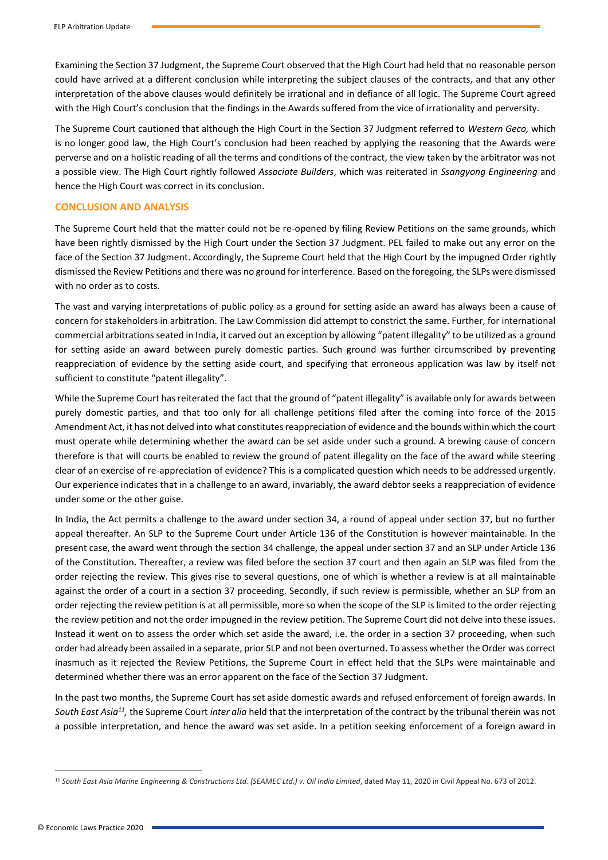Examining the Section 37 Judgment, the Supreme Court observed that the High Court had held that no reasonable person could have arrived at a different conclusion while interpreting the subject clauses of the contracts, and that any other interpretation of the above clauses would definitely be irrational and in defiance of all logic. The Supreme Court agreed with the High Court's conclusion that the findings in the Awards suffered from the vice of irrationality and perversity.

The Supreme Court cautioned that although the High Court in the Section 37 Judgment referred to *Western Geco,* which is no longer good law, the High Court's conclusion had been reached by applying the reasoning that the Awards were perverse and on a holistic reading of all the terms and conditions of the contract, the view taken by the arbitrator was not a possible view. The High Court rightly followed *Associate Builders*, which was reiterated in *Ssangyong Engineering* and hence the High Court was correct in its conclusion.

#### **CONCLUSION AND ANALYSIS**

The Supreme Court held that the matter could not be re-opened by filing Review Petitions on the same grounds, which have been rightly dismissed by the High Court under the Section 37 Judgment. PEL failed to make out any error on the face of the Section 37 Judgment. Accordingly, the Supreme Court held that the High Court by the impugned Order rightly dismissed the Review Petitions and there was no ground for interference. Based on the foregoing, the SLPs were dismissed with no order as to costs.

The vast and varying interpretations of public policy as a ground for setting aside an award has always been a cause of concern for stakeholders in arbitration. The Law Commission did attempt to constrict the same. Further, for international commercial arbitrations seated in India, it carved out an exception by allowing "patent illegality" to be utilized as a ground for setting aside an award between purely domestic parties. Such ground was further circumscribed by preventing reappreciation of evidence by the setting aside court, and specifying that erroneous application was law by itself not sufficient to constitute "patent illegality".

While the Supreme Court has reiterated the fact that the ground of "patent illegality" is available only for awards between purely domestic parties, and that too only for all challenge petitions filed after the coming into force of the 2015 Amendment Act, it has not delved into what constitutes reappreciation of evidence and the bounds within which the court must operate while determining whether the award can be set aside under such a ground. A brewing cause of concern therefore is that will courts be enabled to review the ground of patent illegality on the face of the award while steering clear of an exercise of re-appreciation of evidence? This is a complicated question which needs to be addressed urgently. Our experience indicates that in a challenge to an award, invariably, the award debtor seeks a reappreciation of evidence under some or the other guise.

In India, the Act permits a challenge to the award under section 34, a round of appeal under section 37, but no further appeal thereafter. An SLP to the Supreme Court under Article 136 of the Constitution is however maintainable. In the present case, the award went through the section 34 challenge, the appeal under section 37 and an SLP under Article 136 of the Constitution. Thereafter, a review was filed before the section 37 court and then again an SLP was filed from the order rejecting the review. This gives rise to several questions, one of which is whether a review is at all maintainable against the order of a court in a section 37 proceeding. Secondly, if such review is permissible, whether an SLP from an order rejecting the review petition is at all permissible, more so when the scope of the SLP is limited to the order rejecting the review petition and not the order impugned in the review petition. The Supreme Court did not delve into these issues. Instead it went on to assess the order which set aside the award, i.e. the order in a section 37 proceeding, when such order had already been assailed in a separate, prior SLP and not been overturned. To assess whether the Order was correct inasmuch as it rejected the Review Petitions, the Supreme Court in effect held that the SLPs were maintainable and determined whether there was an error apparent on the face of the Section 37 Judgment.

In the past two months, the Supreme Court has set aside domestic awards and refused enforcement of foreign awards. In South East Asia<sup>11</sup>, the Supreme Court *inter alia* held that the interpretation of the contract by the tribunal therein was not a possible interpretation, and hence the award was set aside. In a petition seeking enforcement of a foreign award in

<sup>&</sup>lt;sup>11</sup> South East Asia Marine Engineering & Constructions Ltd. (SEAMEC Ltd.) v. Oil India Limited, dated May 11, 2020 in Civil Appeal No. 673 of 2012.